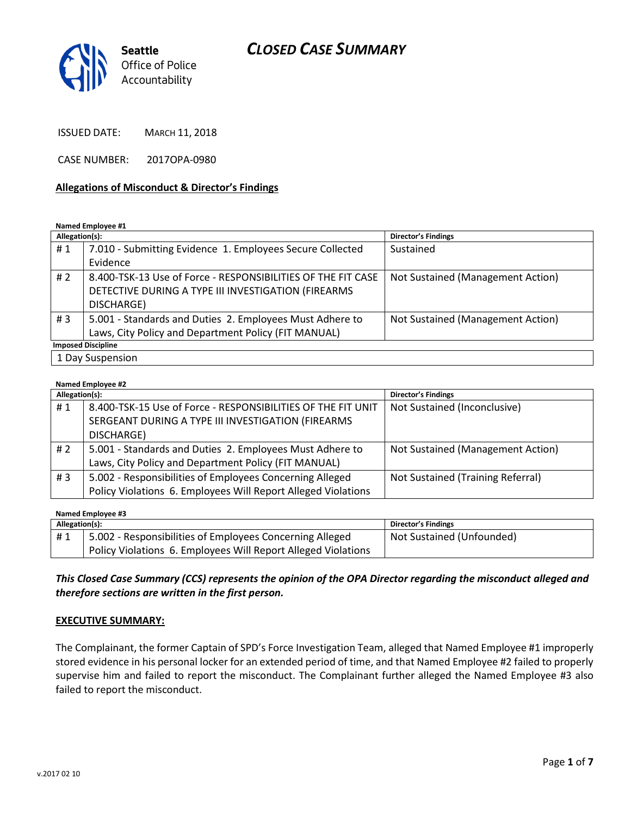# *CLOSED CASE SUMMARY*



ISSUED DATE: MARCH 11, 2018

CASE NUMBER: 2017OPA-0980

#### **Allegations of Misconduct & Director's Findings**

**Named Employee #1**

| Allegation(s):   |                                                              | <b>Director's Findings</b>        |  |
|------------------|--------------------------------------------------------------|-----------------------------------|--|
| #1               | 7.010 - Submitting Evidence 1. Employees Secure Collected    | Sustained                         |  |
|                  | Evidence                                                     |                                   |  |
| #2               | 8.400-TSK-13 Use of Force - RESPONSIBILITIES OF THE FIT CASE | Not Sustained (Management Action) |  |
|                  | DETECTIVE DURING A TYPE III INVESTIGATION (FIREARMS          |                                   |  |
|                  | DISCHARGE)                                                   |                                   |  |
| # $3$            | 5.001 - Standards and Duties 2. Employees Must Adhere to     | Not Sustained (Management Action) |  |
|                  | Laws, City Policy and Department Policy (FIT MANUAL)         |                                   |  |
|                  | <b>Imposed Discipline</b>                                    |                                   |  |
| 1 Day Suspension |                                                              |                                   |  |

#### **Named Employee #2**

| Allegation(s): |                                                               | <b>Director's Findings</b>        |
|----------------|---------------------------------------------------------------|-----------------------------------|
| #1             | 8.400-TSK-15 Use of Force - RESPONSIBILITIES OF THE FIT UNIT  | Not Sustained (Inconclusive)      |
|                | SERGEANT DURING A TYPE III INVESTIGATION (FIREARMS            |                                   |
|                | DISCHARGE)                                                    |                                   |
| # 2            | 5.001 - Standards and Duties 2. Employees Must Adhere to      | Not Sustained (Management Action) |
|                | Laws, City Policy and Department Policy (FIT MANUAL)          |                                   |
| #3             | 5.002 - Responsibilities of Employees Concerning Alleged      | Not Sustained (Training Referral) |
|                | Policy Violations 6. Employees Will Report Alleged Violations |                                   |

| Named Employee #3 |                                                               |                            |  |  |
|-------------------|---------------------------------------------------------------|----------------------------|--|--|
| Allegation(s):    |                                                               | <b>Director's Findings</b> |  |  |
| #1                | 5.002 - Responsibilities of Employees Concerning Alleged      | Not Sustained (Unfounded)  |  |  |
|                   | Policy Violations 6. Employees Will Report Alleged Violations |                            |  |  |

*This Closed Case Summary (CCS) represents the opinion of the OPA Director regarding the misconduct alleged and therefore sections are written in the first person.* 

#### **EXECUTIVE SUMMARY:**

The Complainant, the former Captain of SPD's Force Investigation Team, alleged that Named Employee #1 improperly stored evidence in his personal locker for an extended period of time, and that Named Employee #2 failed to properly supervise him and failed to report the misconduct. The Complainant further alleged the Named Employee #3 also failed to report the misconduct.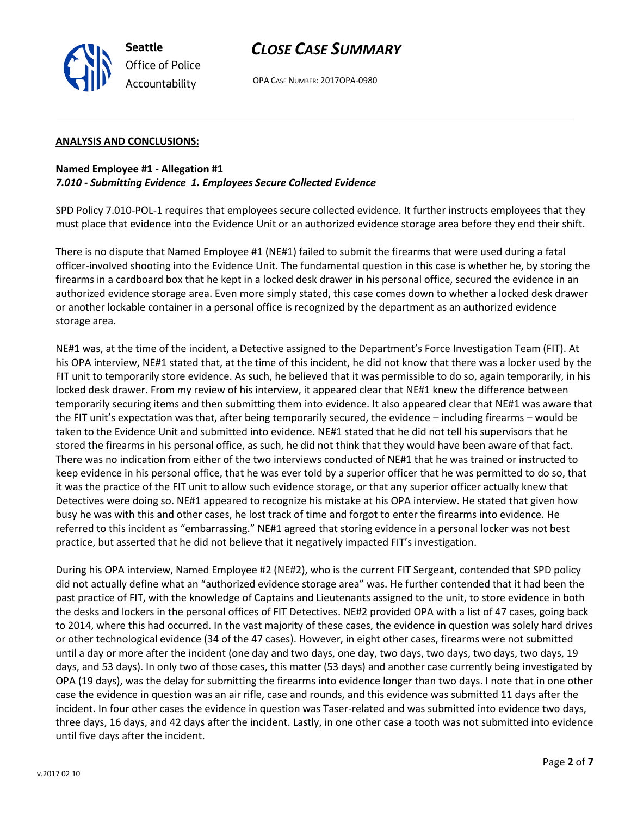

OPA CASE NUMBER: 2017OPA-0980

### **ANALYSIS AND CONCLUSIONS:**

## **Named Employee #1 - Allegation #1** *7.010 - Submitting Evidence 1. Employees Secure Collected Evidence*

SPD Policy 7.010-POL-1 requires that employees secure collected evidence. It further instructs employees that they must place that evidence into the Evidence Unit or an authorized evidence storage area before they end their shift.

There is no dispute that Named Employee #1 (NE#1) failed to submit the firearms that were used during a fatal officer-involved shooting into the Evidence Unit. The fundamental question in this case is whether he, by storing the firearms in a cardboard box that he kept in a locked desk drawer in his personal office, secured the evidence in an authorized evidence storage area. Even more simply stated, this case comes down to whether a locked desk drawer or another lockable container in a personal office is recognized by the department as an authorized evidence storage area.

NE#1 was, at the time of the incident, a Detective assigned to the Department's Force Investigation Team (FIT). At his OPA interview, NE#1 stated that, at the time of this incident, he did not know that there was a locker used by the FIT unit to temporarily store evidence. As such, he believed that it was permissible to do so, again temporarily, in his locked desk drawer. From my review of his interview, it appeared clear that NE#1 knew the difference between temporarily securing items and then submitting them into evidence. It also appeared clear that NE#1 was aware that the FIT unit's expectation was that, after being temporarily secured, the evidence – including firearms – would be taken to the Evidence Unit and submitted into evidence. NE#1 stated that he did not tell his supervisors that he stored the firearms in his personal office, as such, he did not think that they would have been aware of that fact. There was no indication from either of the two interviews conducted of NE#1 that he was trained or instructed to keep evidence in his personal office, that he was ever told by a superior officer that he was permitted to do so, that it was the practice of the FIT unit to allow such evidence storage, or that any superior officer actually knew that Detectives were doing so. NE#1 appeared to recognize his mistake at his OPA interview. He stated that given how busy he was with this and other cases, he lost track of time and forgot to enter the firearms into evidence. He referred to this incident as "embarrassing." NE#1 agreed that storing evidence in a personal locker was not best practice, but asserted that he did not believe that it negatively impacted FIT's investigation.

During his OPA interview, Named Employee #2 (NE#2), who is the current FIT Sergeant, contended that SPD policy did not actually define what an "authorized evidence storage area" was. He further contended that it had been the past practice of FIT, with the knowledge of Captains and Lieutenants assigned to the unit, to store evidence in both the desks and lockers in the personal offices of FIT Detectives. NE#2 provided OPA with a list of 47 cases, going back to 2014, where this had occurred. In the vast majority of these cases, the evidence in question was solely hard drives or other technological evidence (34 of the 47 cases). However, in eight other cases, firearms were not submitted until a day or more after the incident (one day and two days, one day, two days, two days, two days, two days, 19 days, and 53 days). In only two of those cases, this matter (53 days) and another case currently being investigated by OPA (19 days), was the delay for submitting the firearms into evidence longer than two days. I note that in one other case the evidence in question was an air rifle, case and rounds, and this evidence was submitted 11 days after the incident. In four other cases the evidence in question was Taser-related and was submitted into evidence two days, three days, 16 days, and 42 days after the incident. Lastly, in one other case a tooth was not submitted into evidence until five days after the incident.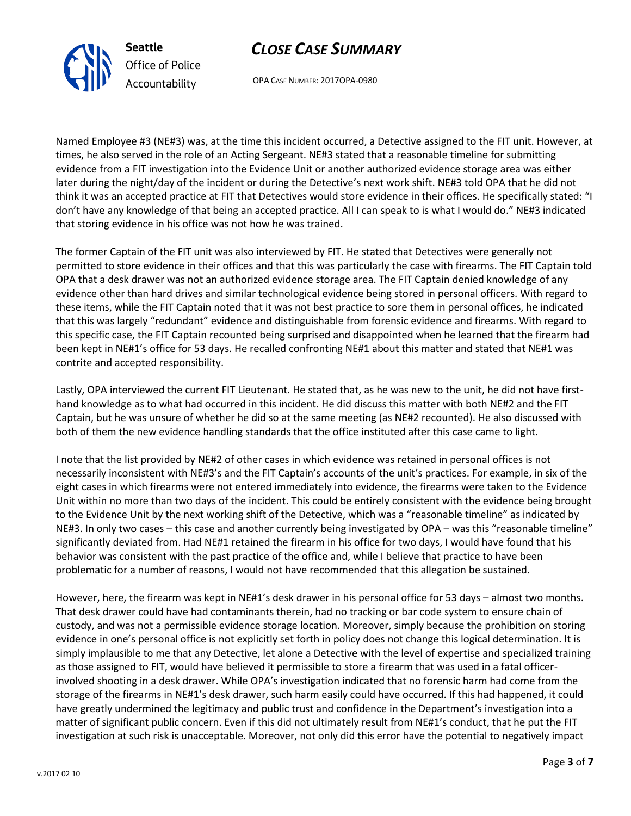



OPA CASE NUMBER: 2017OPA-0980

Named Employee #3 (NE#3) was, at the time this incident occurred, a Detective assigned to the FIT unit. However, at times, he also served in the role of an Acting Sergeant. NE#3 stated that a reasonable timeline for submitting evidence from a FIT investigation into the Evidence Unit or another authorized evidence storage area was either later during the night/day of the incident or during the Detective's next work shift. NE#3 told OPA that he did not think it was an accepted practice at FIT that Detectives would store evidence in their offices. He specifically stated: "I don't have any knowledge of that being an accepted practice. All I can speak to is what I would do." NE#3 indicated that storing evidence in his office was not how he was trained.

The former Captain of the FIT unit was also interviewed by FIT. He stated that Detectives were generally not permitted to store evidence in their offices and that this was particularly the case with firearms. The FIT Captain told OPA that a desk drawer was not an authorized evidence storage area. The FIT Captain denied knowledge of any evidence other than hard drives and similar technological evidence being stored in personal officers. With regard to these items, while the FIT Captain noted that it was not best practice to sore them in personal offices, he indicated that this was largely "redundant" evidence and distinguishable from forensic evidence and firearms. With regard to this specific case, the FIT Captain recounted being surprised and disappointed when he learned that the firearm had been kept in NE#1's office for 53 days. He recalled confronting NE#1 about this matter and stated that NE#1 was contrite and accepted responsibility.

Lastly, OPA interviewed the current FIT Lieutenant. He stated that, as he was new to the unit, he did not have firsthand knowledge as to what had occurred in this incident. He did discuss this matter with both NE#2 and the FIT Captain, but he was unsure of whether he did so at the same meeting (as NE#2 recounted). He also discussed with both of them the new evidence handling standards that the office instituted after this case came to light.

I note that the list provided by NE#2 of other cases in which evidence was retained in personal offices is not necessarily inconsistent with NE#3's and the FIT Captain's accounts of the unit's practices. For example, in six of the eight cases in which firearms were not entered immediately into evidence, the firearms were taken to the Evidence Unit within no more than two days of the incident. This could be entirely consistent with the evidence being brought to the Evidence Unit by the next working shift of the Detective, which was a "reasonable timeline" as indicated by NE#3. In only two cases – this case and another currently being investigated by OPA – was this "reasonable timeline" significantly deviated from. Had NE#1 retained the firearm in his office for two days, I would have found that his behavior was consistent with the past practice of the office and, while I believe that practice to have been problematic for a number of reasons, I would not have recommended that this allegation be sustained.

However, here, the firearm was kept in NE#1's desk drawer in his personal office for 53 days – almost two months. That desk drawer could have had contaminants therein, had no tracking or bar code system to ensure chain of custody, and was not a permissible evidence storage location. Moreover, simply because the prohibition on storing evidence in one's personal office is not explicitly set forth in policy does not change this logical determination. It is simply implausible to me that any Detective, let alone a Detective with the level of expertise and specialized training as those assigned to FIT, would have believed it permissible to store a firearm that was used in a fatal officerinvolved shooting in a desk drawer. While OPA's investigation indicated that no forensic harm had come from the storage of the firearms in NE#1's desk drawer, such harm easily could have occurred. If this had happened, it could have greatly undermined the legitimacy and public trust and confidence in the Department's investigation into a matter of significant public concern. Even if this did not ultimately result from NE#1's conduct, that he put the FIT investigation at such risk is unacceptable. Moreover, not only did this error have the potential to negatively impact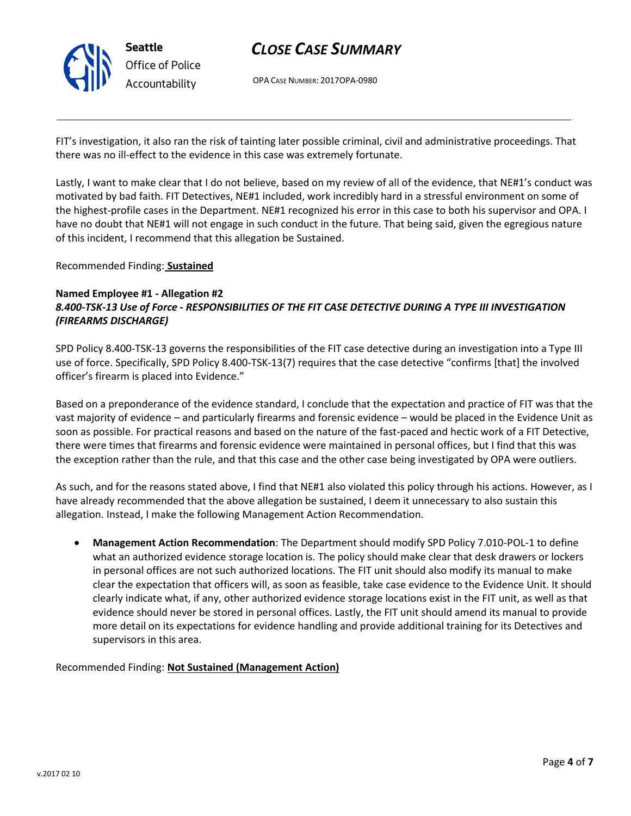

# *CLOSE CASE SUMMARY*

OPA CASE NUMBER: 2017OPA-0980

FIT's investigation, it also ran the risk of tainting later possible criminal, civil and administrative proceedings. That there was no ill-effect to the evidence in this case was extremely fortunate.

Lastly, I want to make clear that I do not believe, based on my review of all of the evidence, that NE#1's conduct was motivated by bad faith. FIT Detectives, NE#1 included, work incredibly hard in a stressful environment on some of the highest-profile cases in the Department. NE#1 recognized his error in this case to both his supervisor and OPA. I have no doubt that NE#1 will not engage in such conduct in the future. That being said, given the egregious nature of this incident, I recommend that this allegation be Sustained.

Recommended Finding: **Sustained**

### **Named Employee #1 - Allegation #2** *8.400-TSK-13 Use of Force - RESPONSIBILITIES OF THE FIT CASE DETECTIVE DURING A TYPE III INVESTIGATION (FIREARMS DISCHARGE)*

SPD Policy 8.400-TSK-13 governs the responsibilities of the FIT case detective during an investigation into a Type III use of force. Specifically, SPD Policy 8.400-TSK-13(7) requires that the case detective "confirms [that] the involved officer's firearm is placed into Evidence."

Based on a preponderance of the evidence standard, I conclude that the expectation and practice of FIT was that the vast majority of evidence – and particularly firearms and forensic evidence – would be placed in the Evidence Unit as soon as possible. For practical reasons and based on the nature of the fast-paced and hectic work of a FIT Detective, there were times that firearms and forensic evidence were maintained in personal offices, but I find that this was the exception rather than the rule, and that this case and the other case being investigated by OPA were outliers.

As such, and for the reasons stated above, I find that NE#1 also violated this policy through his actions. However, as I have already recommended that the above allegation be sustained, I deem it unnecessary to also sustain this allegation. Instead, I make the following Management Action Recommendation.

 **Management Action Recommendation**: The Department should modify SPD Policy 7.010-POL-1 to define what an authorized evidence storage location is. The policy should make clear that desk drawers or lockers in personal offices are not such authorized locations. The FIT unit should also modify its manual to make clear the expectation that officers will, as soon as feasible, take case evidence to the Evidence Unit. It should clearly indicate what, if any, other authorized evidence storage locations exist in the FIT unit, as well as that evidence should never be stored in personal offices. Lastly, the FIT unit should amend its manual to provide more detail on its expectations for evidence handling and provide additional training for its Detectives and supervisors in this area.

Recommended Finding: **Not Sustained (Management Action)**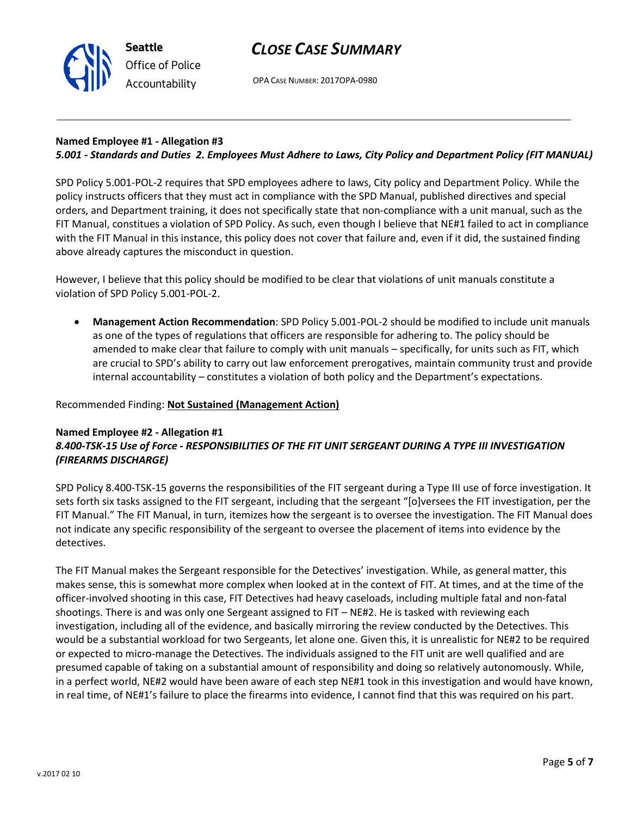



OPA CASE NUMBER: 2017OPA-0980

# **Named Employee #1 - Allegation #3**

# *5.001 - Standards and Duties 2. Employees Must Adhere to Laws, City Policy and Department Policy (FIT MANUAL)*

SPD Policy 5.001-POL-2 requires that SPD employees adhere to laws, City policy and Department Policy. While the policy instructs officers that they must act in compliance with the SPD Manual, published directives and special orders, and Department training, it does not specifically state that non-compliance with a unit manual, such as the FIT Manual, constitues a violation of SPD Policy. As such, even though I believe that NE#1 failed to act in compliance with the FIT Manual in this instance, this policy does not cover that failure and, even if it did, the sustained finding above already captures the misconduct in question.

However, I believe that this policy should be modified to be clear that violations of unit manuals constitute a violation of SPD Policy 5.001-POL-2.

 **Management Action Recommendation**: SPD Policy 5.001-POL-2 should be modified to include unit manuals as one of the types of regulations that officers are responsible for adhering to. The policy should be amended to make clear that failure to comply with unit manuals – specifically, for units such as FIT, which are crucial to SPD's ability to carry out law enforcement prerogatives, maintain community trust and provide internal accountability – constitutes a violation of both policy and the Department's expectations.

### Recommended Finding: **Not Sustained (Management Action)**

#### **Named Employee #2 - Allegation #1** *8.400-TSK-15 Use of Force - RESPONSIBILITIES OF THE FIT UNIT SERGEANT DURING A TYPE III INVESTIGATION (FIREARMS DISCHARGE)*

SPD Policy 8.400-TSK-15 governs the responsibilities of the FIT sergeant during a Type III use of force investigation. It sets forth six tasks assigned to the FIT sergeant, including that the sergeant "[o]versees the FIT investigation, per the FIT Manual." The FIT Manual, in turn, itemizes how the sergeant is to oversee the investigation. The FIT Manual does not indicate any specific responsibility of the sergeant to oversee the placement of items into evidence by the detectives.

The FIT Manual makes the Sergeant responsible for the Detectives' investigation. While, as general matter, this makes sense, this is somewhat more complex when looked at in the context of FIT. At times, and at the time of the officer-involved shooting in this case, FIT Detectives had heavy caseloads, including multiple fatal and non-fatal shootings. There is and was only one Sergeant assigned to FIT – NE#2. He is tasked with reviewing each investigation, including all of the evidence, and basically mirroring the review conducted by the Detectives. This would be a substantial workload for two Sergeants, let alone one. Given this, it is unrealistic for NE#2 to be required or expected to micro-manage the Detectives. The individuals assigned to the FIT unit are well qualified and are presumed capable of taking on a substantial amount of responsibility and doing so relatively autonomously. While, in a perfect world, NE#2 would have been aware of each step NE#1 took in this investigation and would have known, in real time, of NE#1's failure to place the firearms into evidence, I cannot find that this was required on his part.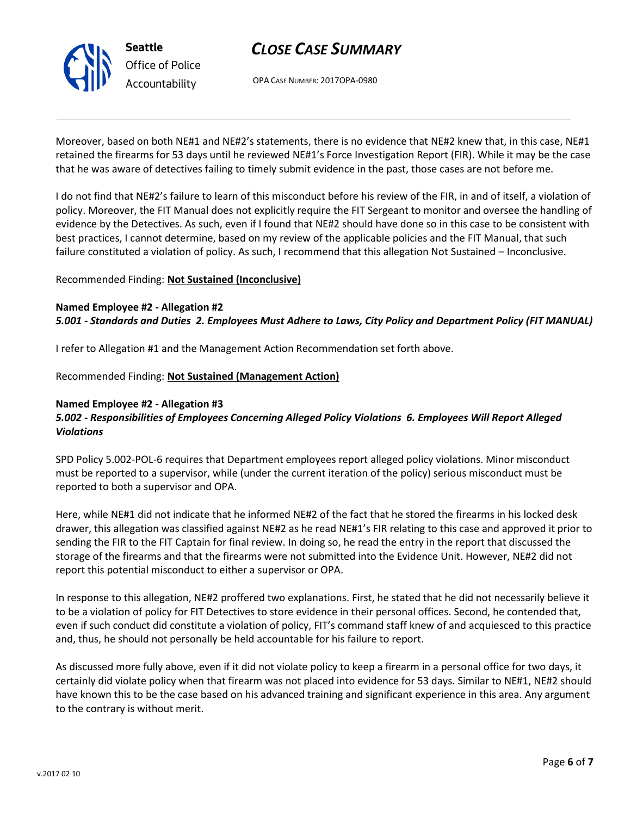

# *CLOSE CASE SUMMARY*

OPA CASE NUMBER: 2017OPA-0980

Moreover, based on both NE#1 and NE#2's statements, there is no evidence that NE#2 knew that, in this case, NE#1 retained the firearms for 53 days until he reviewed NE#1's Force Investigation Report (FIR). While it may be the case that he was aware of detectives failing to timely submit evidence in the past, those cases are not before me.

I do not find that NE#2's failure to learn of this misconduct before his review of the FIR, in and of itself, a violation of policy. Moreover, the FIT Manual does not explicitly require the FIT Sergeant to monitor and oversee the handling of evidence by the Detectives. As such, even if I found that NE#2 should have done so in this case to be consistent with best practices, I cannot determine, based on my review of the applicable policies and the FIT Manual, that such failure constituted a violation of policy. As such, I recommend that this allegation Not Sustained – Inconclusive.

### Recommended Finding: **Not Sustained (Inconclusive)**

## **Named Employee #2 - Allegation #2** *5.001 - Standards and Duties 2. Employees Must Adhere to Laws, City Policy and Department Policy (FIT MANUAL)*

I refer to Allegation #1 and the Management Action Recommendation set forth above.

### Recommended Finding: **Not Sustained (Management Action)**

#### **Named Employee #2 - Allegation #3**

## *5.002 - Responsibilities of Employees Concerning Alleged Policy Violations 6. Employees Will Report Alleged Violations*

SPD Policy 5.002-POL-6 requires that Department employees report alleged policy violations. Minor misconduct must be reported to a supervisor, while (under the current iteration of the policy) serious misconduct must be reported to both a supervisor and OPA.

Here, while NE#1 did not indicate that he informed NE#2 of the fact that he stored the firearms in his locked desk drawer, this allegation was classified against NE#2 as he read NE#1's FIR relating to this case and approved it prior to sending the FIR to the FIT Captain for final review. In doing so, he read the entry in the report that discussed the storage of the firearms and that the firearms were not submitted into the Evidence Unit. However, NE#2 did not report this potential misconduct to either a supervisor or OPA.

In response to this allegation, NE#2 proffered two explanations. First, he stated that he did not necessarily believe it to be a violation of policy for FIT Detectives to store evidence in their personal offices. Second, he contended that, even if such conduct did constitute a violation of policy, FIT's command staff knew of and acquiesced to this practice and, thus, he should not personally be held accountable for his failure to report.

As discussed more fully above, even if it did not violate policy to keep a firearm in a personal office for two days, it certainly did violate policy when that firearm was not placed into evidence for 53 days. Similar to NE#1, NE#2 should have known this to be the case based on his advanced training and significant experience in this area. Any argument to the contrary is without merit.